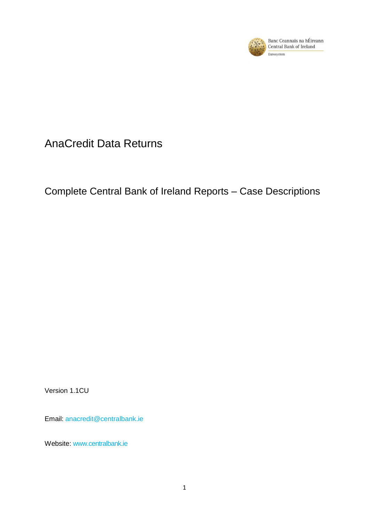

# AnaCredit Data Returns

# Complete Central Bank of Ireland Reports – Case Descriptions

Version 1.1CU

Email: [anacredit@centralbank.ie](mailto:anacredit@centralbank.ie)

Website: [www.centralbank.ie](http://www.centralbank.ie/)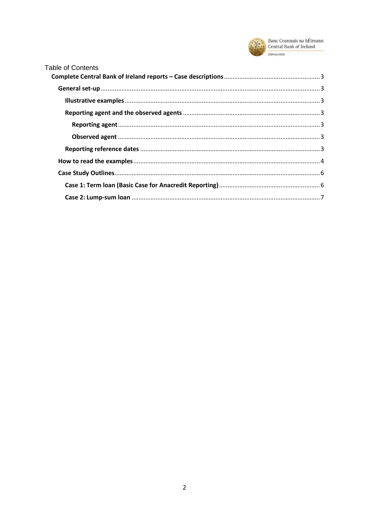

| <b>Table of Contents</b> |  |
|--------------------------|--|
|                          |  |
|                          |  |
|                          |  |
|                          |  |
|                          |  |
|                          |  |
|                          |  |
|                          |  |
|                          |  |
|                          |  |
|                          |  |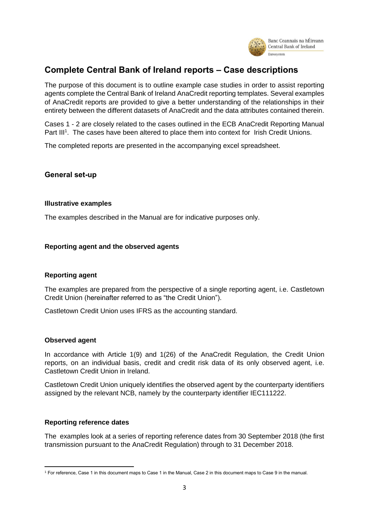

## <span id="page-2-0"></span>**Complete Central Bank of Ireland reports – Case descriptions**

The purpose of this document is to outline example case studies in order to assist reporting agents complete the Central Bank of Ireland AnaCredit reporting templates. Several examples of AnaCredit reports are provided to give a better understanding of the relationships in their entirety between the different datasets of AnaCredit and the data attributes contained therein.

Cases 1 - 2 are closely related to the cases outlined in the ECB AnaCredit Reporting Manual Part III<sup>1</sup>. The cases have been altered to place them into context for Irish Credit Unions.

<span id="page-2-1"></span>The completed reports are presented in the accompanying excel spreadsheet.

#### **General set-up**

#### <span id="page-2-2"></span>**Illustrative examples**

<span id="page-2-3"></span>The examples described in the Manual are for indicative purposes only.

#### <span id="page-2-4"></span>**Reporting agent and the observed agents**

#### **Reporting agent**

The examples are prepared from the perspective of a single reporting agent, i.e. Castletown Credit Union (hereinafter referred to as "the Credit Union").

<span id="page-2-5"></span>Castletown Credit Union uses IFRS as the accounting standard.

#### **Observed agent**

**.** 

In accordance with Article 1(9) and 1(26) of the AnaCredit Regulation, the Credit Union reports, on an individual basis, credit and credit risk data of its only observed agent, i.e. Castletown Credit Union in Ireland.

Castletown Credit Union uniquely identifies the observed agent by the counterparty identifiers assigned by the relevant NCB, namely by the counterparty identifier IEC111222.

#### <span id="page-2-6"></span>**Reporting reference dates**

The examples look at a series of reporting reference dates from 30 September 2018 (the first transmission pursuant to the AnaCredit Regulation) through to 31 December 2018.

<sup>1</sup> For reference, Case 1 in this document maps to Case 1 in the Manual, Case 2 in this document maps to Case 9 in the manual.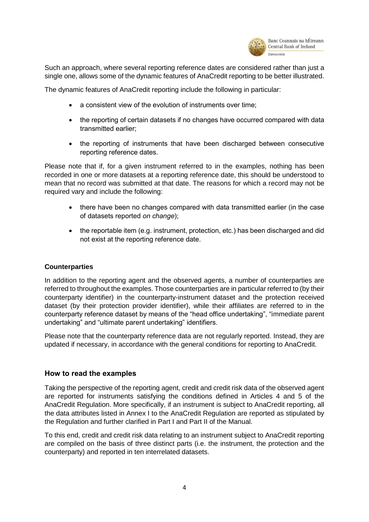

Such an approach, where several reporting reference dates are considered rather than just a single one, allows some of the dynamic features of AnaCredit reporting to be better illustrated.

The dynamic features of AnaCredit reporting include the following in particular:

- a consistent view of the evolution of instruments over time;
- the reporting of certain datasets if no changes have occurred compared with data transmitted earlier;
- the reporting of instruments that have been discharged between consecutive reporting reference dates.

Please note that if, for a given instrument referred to in the examples, nothing has been recorded in one or more datasets at a reporting reference date, this should be understood to mean that no record was submitted at that date. The reasons for which a record may not be required vary and include the following:

- there have been no changes compared with data transmitted earlier (in the case of datasets reported *on change*);
- the reportable item (e.g. instrument, protection, etc.) has been discharged and did not exist at the reporting reference date.

#### **Counterparties**

In addition to the reporting agent and the observed agents, a number of counterparties are referred to throughout the examples. Those counterparties are in particular referred to (by their counterparty identifier) in the counterparty-instrument dataset and the protection received dataset (by their protection provider identifier), while their affiliates are referred to in the counterparty reference dataset by means of the "head office undertaking", "immediate parent undertaking" and "ultimate parent undertaking" identifiers.

Please note that the counterparty reference data are not regularly reported. Instead, they are updated if necessary, in accordance with the general conditions for reporting to AnaCredit.

#### <span id="page-3-0"></span>**How to read the examples**

Taking the perspective of the reporting agent, credit and credit risk data of the observed agent are reported for instruments satisfying the conditions defined in Articles 4 and 5 of the AnaCredit Regulation. More specifically, if an instrument is subject to AnaCredit reporting, all the data attributes listed in Annex I to the AnaCredit Regulation are reported as stipulated by the Regulation and further clarified in Part I and Part II of the Manual.

To this end, credit and credit risk data relating to an instrument subject to AnaCredit reporting are compiled on the basis of three distinct parts (i.e. the instrument, the protection and the counterparty) and reported in ten interrelated datasets.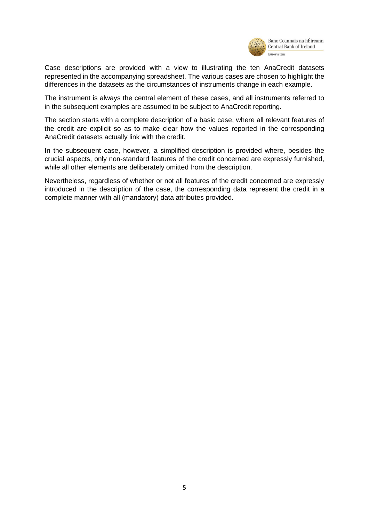

Banc Ceannais na hÉireann Central Bank of Ireland

Case descriptions are provided with a view to illustrating the ten AnaCredit datasets represented in the accompanying spreadsheet. The various cases are chosen to highlight the differences in the datasets as the circumstances of instruments change in each example.

The instrument is always the central element of these cases, and all instruments referred to in the subsequent examples are assumed to be subject to AnaCredit reporting.

The section starts with a complete description of a basic case, where all relevant features of the credit are explicit so as to make clear how the values reported in the corresponding AnaCredit datasets actually link with the credit.

In the subsequent case, however, a simplified description is provided where, besides the crucial aspects, only non-standard features of the credit concerned are expressly furnished, while all other elements are deliberately omitted from the description.

Nevertheless, regardless of whether or not all features of the credit concerned are expressly introduced in the description of the case, the corresponding data represent the credit in a complete manner with all (mandatory) data attributes provided.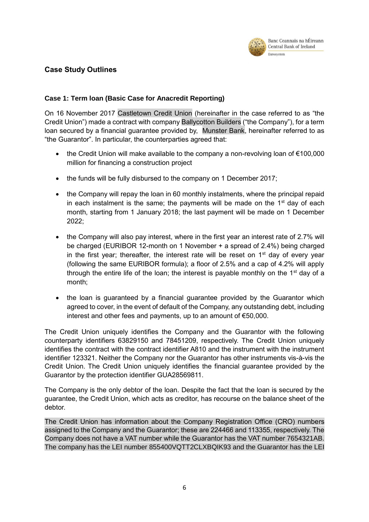

### <span id="page-5-0"></span>**Case Study Outlines**

### <span id="page-5-1"></span>**Case 1: Term loan (Basic Case for Anacredit Reporting)**

On 16 November 2017 Castletown Credit Union (hereinafter in the case referred to as "the Credit Union") made a contract with company Ballycotton Builders ("the Company"), for a term loan secured by a financial guarantee provided by, Munster Bank, hereinafter referred to as "the Guarantor". In particular, the counterparties agreed that:

- the Credit Union will make available to the company a non-revolving loan of €100,000 million for financing a construction project
- the funds will be fully disbursed to the company on 1 December 2017;
- the Company will repay the loan in 60 monthly instalments, where the principal repaid in each instalment is the same; the payments will be made on the  $1<sup>st</sup>$  day of each month, starting from 1 January 2018; the last payment will be made on 1 December 2022;
- the Company will also pay interest, where in the first year an interest rate of 2.7% will be charged (EURIBOR 12-month on 1 November + a spread of 2.4%) being charged in the first year; thereafter, the interest rate will be reset on  $1<sup>st</sup>$  day of every year (following the same EURIBOR formula); a floor of 2.5% and a cap of 4.2% will apply through the entire life of the loan; the interest is payable monthly on the  $1<sup>st</sup>$  day of a month;
- the loan is guaranteed by a financial guarantee provided by the Guarantor which agreed to cover, in the event of default of the Company, any outstanding debt, including interest and other fees and payments, up to an amount of €50,000.

The Credit Union uniquely identifies the Company and the Guarantor with the following counterparty identifiers 63829150 and 78451209, respectively. The Credit Union uniquely identifies the contract with the contract identifier A810 and the instrument with the instrument identifier 123321. Neither the Company nor the Guarantor has other instruments vis-à-vis the Credit Union. The Credit Union uniquely identifies the financial guarantee provided by the Guarantor by the protection identifier GUA28569811.

The Company is the only debtor of the loan. Despite the fact that the loan is secured by the guarantee, the Credit Union, which acts as creditor, has recourse on the balance sheet of the debtor.

The Credit Union has information about the Company Registration Office (CRO) numbers assigned to the Company and the Guarantor; these are 224466 and 113355, respectively. The Company does not have a VAT number while the Guarantor has the VAT number 7654321AB. The company has the LEI number 855400VQTT2CLXBQIK93 and the Guarantor has the LEI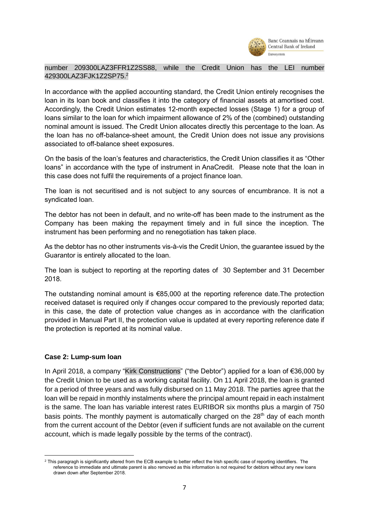

#### number 209300LAZ3FFR1Z2SS88, while the Credit Union has the LEI number 429300LAZ3FJK1Z2SP75.<sup>2</sup>

In accordance with the applied accounting standard, the Credit Union entirely recognises the loan in its loan book and classifies it into the category of financial assets at amortised cost. Accordingly, the Credit Union estimates 12-month expected losses (Stage 1) for a group of loans similar to the loan for which impairment allowance of 2% of the (combined) outstanding nominal amount is issued. The Credit Union allocates directly this percentage to the loan. As the loan has no off-balance-sheet amount, the Credit Union does not issue any provisions associated to off-balance sheet exposures.

On the basis of the loan's features and characteristics, the Credit Union classifies it as "Other loans" in accordance with the type of instrument in AnaCredit. Please note that the loan in this case does not fulfil the requirements of a project finance loan.

The loan is not securitised and is not subject to any sources of encumbrance. It is not a syndicated loan.

The debtor has not been in default, and no write-off has been made to the instrument as the Company has been making the repayment timely and in full since the inception. The instrument has been performing and no renegotiation has taken place.

As the debtor has no other instruments vis-à-vis the Credit Union, the guarantee issued by the Guarantor is entirely allocated to the loan.

The loan is subject to reporting at the reporting dates of 30 September and 31 December 2018.

The outstanding nominal amount is €85,000 at the reporting reference date.The protection received dataset is required only if changes occur compared to the previously reported data; in this case, the date of protection value changes as in accordance with the clarification provided in Manual Part II, the protection value is updated at every reporting reference date if the protection is reported at its nominal value.

#### <span id="page-6-0"></span>**Case 2: Lump-sum loan**

**.** 

In April 2018, a company "Kirk Constructions" ("the Debtor") applied for a loan of €36,000 by the Credit Union to be used as a working capital facility. On 11 April 2018, the loan is granted for a period of three years and was fully disbursed on 11 May 2018. The parties agree that the loan will be repaid in monthly instalments where the principal amount repaid in each instalment is the same. The loan has variable interest rates EURIBOR six months plus a margin of 750 basis points. The monthly payment is automatically charged on the 28<sup>th</sup> day of each month from the current account of the Debtor (even if sufficient funds are not available on the current account, which is made legally possible by the terms of the contract).

<sup>&</sup>lt;sup>2</sup> This paragragh is significantly altered from the ECB example to better reflect the Irish specific case of reporting identifiers. The reference to immediate and ultimate parent is also removed as this information is not required for debtors without any new loans drawn down after September 2018.